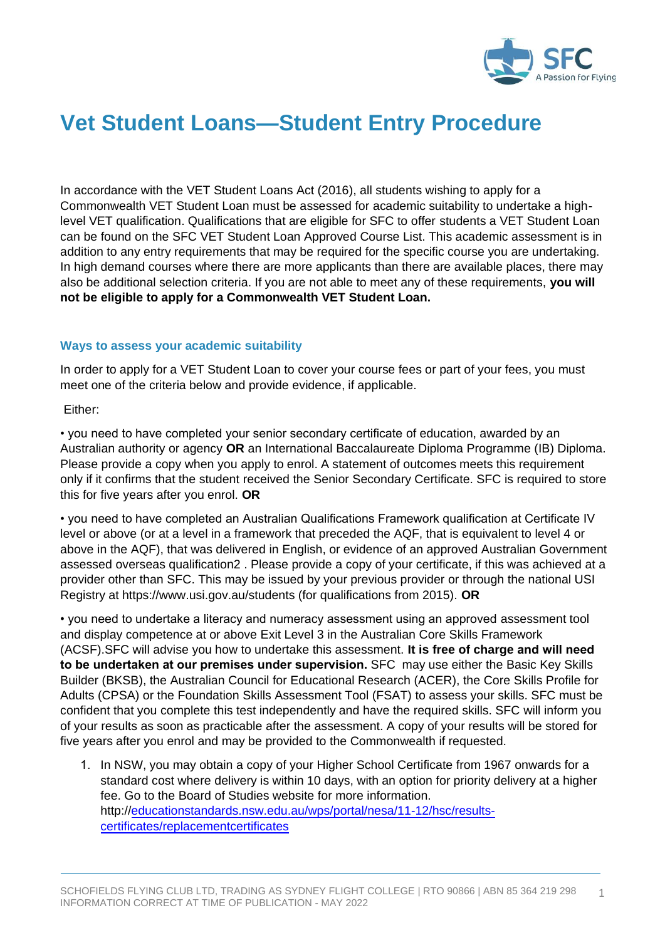

## **Vet Student Loans—Student Entry Procedure**

In accordance with the VET Student Loans Act (2016), all students wishing to apply for a Commonwealth VET Student Loan must be assessed for academic suitability to undertake a highlevel VET qualification. Qualifications that are eligible for SFC to offer students a VET Student Loan can be found on the SFC VET Student Loan Approved Course List. This academic assessment is in addition to any entry requirements that may be required for the specific course you are undertaking. In high demand courses where there are more applicants than there are available places, there may also be additional selection criteria. If you are not able to meet any of these requirements, **you will not be eligible to apply for a Commonwealth VET Student Loan.** 

## **Ways to assess your academic suitability**

In order to apply for a VET Student Loan to cover your course fees or part of your fees, you must meet one of the criteria below and provide evidence, if applicable.

## Either:

• you need to have completed your senior secondary certificate of education, awarded by an Australian authority or agency **OR** an International Baccalaureate Diploma Programme (IB) Diploma. Please provide a copy when you apply to enrol. A statement of outcomes meets this requirement only if it confirms that the student received the Senior Secondary Certificate. SFC is required to store this for five years after you enrol. **OR**

• you need to have completed an Australian Qualifications Framework qualification at Certificate IV level or above (or at a level in a framework that preceded the AQF, that is equivalent to level 4 or above in the AQF), that was delivered in English, or evidence of an approved Australian Government assessed overseas qualification2 . Please provide a copy of your certificate, if this was achieved at a provider other than SFC. This may be issued by your previous provider or through the national USI Registry at https://www.usi.gov.au/students (for qualifications from 2015). **OR**

• you need to undertake a literacy and numeracy assessment using an approved assessment tool and display competence at or above Exit Level 3 in the Australian Core Skills Framework (ACSF).SFC will advise you how to undertake this assessment. **It is free of charge and will need to be undertaken at our premises under supervision.** SFC may use either the Basic Key Skills Builder (BKSB), the Australian Council for Educational Research (ACER), the Core Skills Profile for Adults (CPSA) or the Foundation Skills Assessment Tool (FSAT) to assess your skills. SFC must be confident that you complete this test independently and have the required skills. SFC will inform you of your results as soon as practicable after the assessment. A copy of your results will be stored for five years after you enrol and may be provided to the Commonwealth if requested.

1. In NSW, you may obtain a copy of your Higher School Certificate from 1967 onwards for a standard cost where delivery is within 10 days, with an option for priority delivery at a higher fee. Go to the Board of Studies website for more information. http:/[/educationstandards.nsw.edu.au/wps/portal/nesa/11-12/hsc/results](https://educationstandards.nsw.edu.au/wps/portal/nesa/11-12/hsc/results-certificates/replacement-certificates)[certificates/replacementcertificates](https://educationstandards.nsw.edu.au/wps/portal/nesa/11-12/hsc/results-certificates/replacement-certificates)